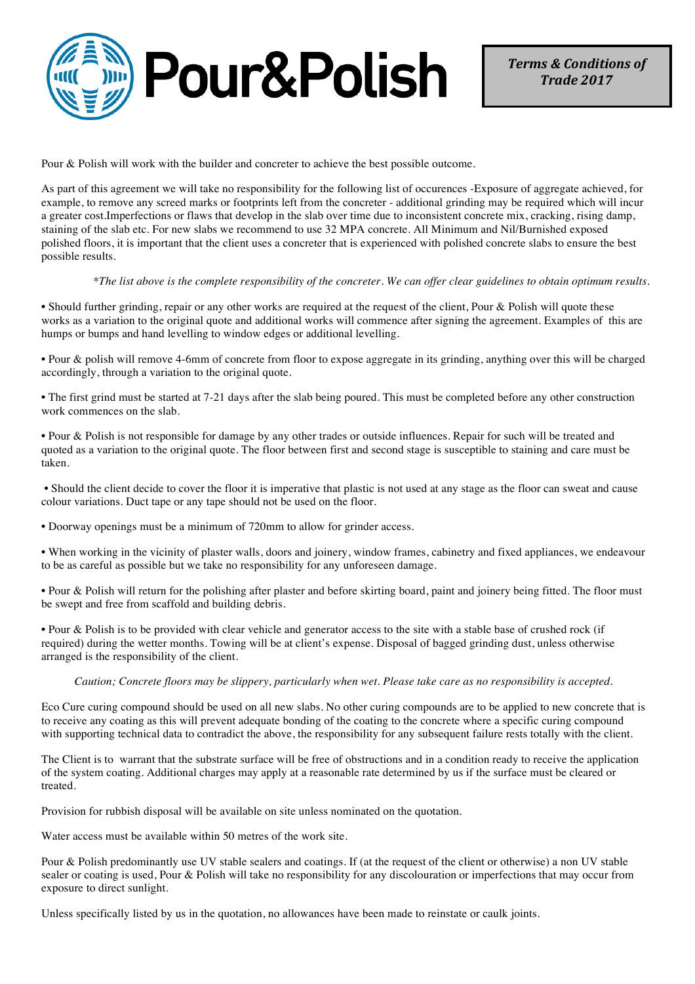

Pour & Polish will work with the builder and concreter to achieve the best possible outcome.

As part of this agreement we will take no responsibility for the following list of occurences -Exposure of aggregate achieved, for example, to remove any screed marks or footprints left from the concreter - additional grinding may be required which will incur a greater cost.Imperfections or flaws that develop in the slab over time due to inconsistent concrete mix, cracking, rising damp, staining of the slab etc. For new slabs we recommend to use 32 MPA concrete. All Minimum and Nil/Burnished exposed polished floors, it is important that the client uses a concreter that is experienced with polished concrete slabs to ensure the best possible results.

*\*The list above is the complete responsibility of the concreter. We can offer clear guidelines to obtain optimum results.*

• Should further grinding, repair or any other works are required at the request of the client, Pour & Polish will quote these works as a variation to the original quote and additional works will commence after signing the agreement. Examples of this are humps or bumps and hand levelling to window edges or additional levelling.

• Pour & polish will remove 4-6mm of concrete from floor to expose aggregate in its grinding, anything over this will be charged accordingly, through a variation to the original quote.

• The first grind must be started at 7-21 days after the slab being poured. This must be completed before any other construction work commences on the slab.

• Pour & Polish is not responsible for damage by any other trades or outside influences. Repair for such will be treated and quoted as a variation to the original quote. The floor between first and second stage is susceptible to staining and care must be taken.

• Should the client decide to cover the floor it is imperative that plastic is not used at any stage as the floor can sweat and cause colour variations. Duct tape or any tape should not be used on the floor.

• Doorway openings must be a minimum of 720mm to allow for grinder access.

• When working in the vicinity of plaster walls, doors and joinery, window frames, cabinetry and fixed appliances, we endeavour to be as careful as possible but we take no responsibility for any unforeseen damage.

• Pour & Polish will return for the polishing after plaster and before skirting board, paint and joinery being fitted. The floor must be swept and free from scaffold and building debris.

• Pour & Polish is to be provided with clear vehicle and generator access to the site with a stable base of crushed rock (if required) during the wetter months. Towing will be at client's expense. Disposal of bagged grinding dust, unless otherwise arranged is the responsibility of the client.

## *Caution; Concrete floors may be slippery, particularly when wet. Please take care as no responsibility is accepted.*

Eco Cure curing compound should be used on all new slabs. No other curing compounds are to be applied to new concrete that is to receive any coating as this will prevent adequate bonding of the coating to the concrete where a specific curing compound with supporting technical data to contradict the above, the responsibility for any subsequent failure rests totally with the client.

The Client is to warrant that the substrate surface will be free of obstructions and in a condition ready to receive the application of the system coating. Additional charges may apply at a reasonable rate determined by us if the surface must be cleared or treated.

Provision for rubbish disposal will be available on site unless nominated on the quotation.

Water access must be available within 50 metres of the work site.

Pour & Polish predominantly use UV stable sealers and coatings. If (at the request of the client or otherwise) a non UV stable sealer or coating is used, Pour & Polish will take no responsibility for any discolouration or imperfections that may occur from exposure to direct sunlight.

Unless specifically listed by us in the quotation, no allowances have been made to reinstate or caulk joints.